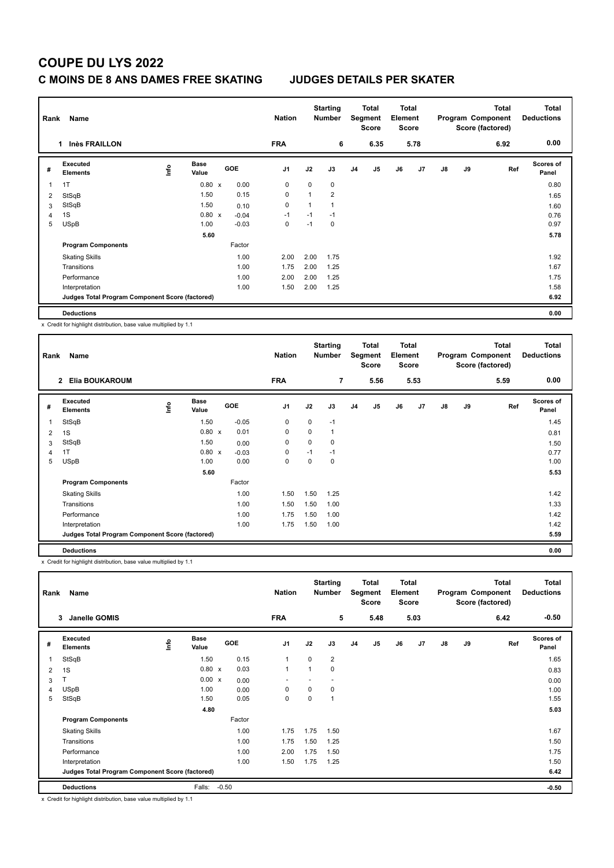# **COUPE DU LYS 2022**

### **C MOINS DE 8 ANS DAMES FREE SKATING JUDGES DETAILS PER SKATER**

| Rank<br>Name |                                                 |      |                      |  |         | <b>Nation</b>  |      | <b>Starting</b><br><b>Number</b> |    | Total<br>Segment<br><b>Score</b> | <b>Total</b><br>Element<br><b>Score</b> |      |               |    | <b>Total</b><br>Program Component<br>Score (factored) | <b>Total</b><br><b>Deductions</b> |
|--------------|-------------------------------------------------|------|----------------------|--|---------|----------------|------|----------------------------------|----|----------------------------------|-----------------------------------------|------|---------------|----|-------------------------------------------------------|-----------------------------------|
|              | <b>Inès FRAILLON</b><br>1                       |      |                      |  |         | <b>FRA</b>     |      | 6                                |    | 6.35                             |                                         | 5.78 |               |    | 6.92                                                  | 0.00                              |
| #            | <b>Executed</b><br><b>Elements</b>              | ١nf٥ | <b>Base</b><br>Value |  | GOE     | J <sub>1</sub> | J2   | J3                               | J4 | J <sub>5</sub>                   | J6                                      | J7   | $\mathsf{J}8$ | J9 | Ref                                                   | Scores of<br>Panel                |
| 1            | 1T                                              |      | $0.80 \times$        |  | 0.00    | $\mathbf 0$    | 0    | 0                                |    |                                  |                                         |      |               |    |                                                       | 0.80                              |
| 2            | StSqB                                           |      | 1.50                 |  | 0.15    | 0              |      | $\overline{2}$                   |    |                                  |                                         |      |               |    |                                                       | 1.65                              |
| 3            | StSqB                                           |      | 1.50                 |  | 0.10    | 0              | 1    |                                  |    |                                  |                                         |      |               |    |                                                       | 1.60                              |
| 4            | 1S                                              |      | $0.80 \times$        |  | $-0.04$ | $-1$           | $-1$ | $-1$                             |    |                                  |                                         |      |               |    |                                                       | 0.76                              |
| 5            | <b>USpB</b>                                     |      | 1.00                 |  | $-0.03$ | 0              | $-1$ | 0                                |    |                                  |                                         |      |               |    |                                                       | 0.97                              |
|              |                                                 |      | 5.60                 |  |         |                |      |                                  |    |                                  |                                         |      |               |    |                                                       | 5.78                              |
|              | <b>Program Components</b>                       |      |                      |  | Factor  |                |      |                                  |    |                                  |                                         |      |               |    |                                                       |                                   |
|              | <b>Skating Skills</b>                           |      |                      |  | 1.00    | 2.00           | 2.00 | 1.75                             |    |                                  |                                         |      |               |    |                                                       | 1.92                              |
|              | Transitions                                     |      |                      |  | 1.00    | 1.75           | 2.00 | 1.25                             |    |                                  |                                         |      |               |    |                                                       | 1.67                              |
|              | Performance                                     |      |                      |  | 1.00    | 2.00           | 2.00 | 1.25                             |    |                                  |                                         |      |               |    |                                                       | 1.75                              |
|              | Interpretation                                  |      |                      |  | 1.00    | 1.50           | 2.00 | 1.25                             |    |                                  |                                         |      |               |    |                                                       | 1.58                              |
|              | Judges Total Program Component Score (factored) |      |                      |  |         |                |      |                                  |    |                                  |                                         |      |               |    |                                                       | 6.92                              |
|              | <b>Deductions</b>                               |      |                      |  |         |                |      |                                  |    |                                  |                                         |      |               |    |                                                       | 0.00                              |

x Credit for highlight distribution, base value multiplied by 1.1

| Rank | Name                                            |      |                      |                                   | <b>Nation</b>  |             | <b>Starting</b><br><b>Number</b> |                | <b>Total</b><br>Segment<br><b>Score</b> | <b>Total</b><br>Element<br><b>Score</b> |                |               |    | <b>Total</b><br>Program Component<br>Score (factored) | <b>Total</b><br><b>Deductions</b> |
|------|-------------------------------------------------|------|----------------------|-----------------------------------|----------------|-------------|----------------------------------|----------------|-----------------------------------------|-----------------------------------------|----------------|---------------|----|-------------------------------------------------------|-----------------------------------|
|      | Elia BOUKAROUM<br>$\overline{2}$                |      |                      |                                   | <b>FRA</b>     |             | $\overline{7}$                   |                | 5.56                                    |                                         | 5.53           |               |    | 5.59                                                  | 0.00                              |
| #    | <b>Executed</b><br><b>Elements</b>              | ١nf٥ | <b>Base</b><br>Value | <b>GOE</b>                        | J <sub>1</sub> | J2          | J3                               | J <sub>4</sub> | J5                                      | J6                                      | J <sub>7</sub> | $\mathsf{J}8$ | J9 | Ref                                                   | <b>Scores of</b><br>Panel         |
| 1    | StSqB                                           |      | 1.50                 | $-0.05$                           | 0              | $\mathbf 0$ | $-1$                             |                |                                         |                                         |                |               |    |                                                       | 1.45                              |
| 2    | 1S                                              |      | 0.80                 | 0.01<br>$\boldsymbol{\mathsf{x}}$ | 0              | $\Omega$    |                                  |                |                                         |                                         |                |               |    |                                                       | 0.81                              |
| 3    | StSqB                                           |      | 1.50                 | 0.00                              | 0              | 0           | 0                                |                |                                         |                                         |                |               |    |                                                       | 1.50                              |
| 4    | 1T                                              |      | $0.80 \times$        | $-0.03$                           | 0              | $-1$        | $-1$                             |                |                                         |                                         |                |               |    |                                                       | 0.77                              |
| 5    | <b>USpB</b>                                     |      | 1.00                 | 0.00                              | 0              | $\Omega$    | 0                                |                |                                         |                                         |                |               |    |                                                       | 1.00                              |
|      |                                                 |      | 5.60                 |                                   |                |             |                                  |                |                                         |                                         |                |               |    |                                                       | 5.53                              |
|      | <b>Program Components</b>                       |      |                      | Factor                            |                |             |                                  |                |                                         |                                         |                |               |    |                                                       |                                   |
|      | <b>Skating Skills</b>                           |      |                      | 1.00                              | 1.50           | 1.50        | 1.25                             |                |                                         |                                         |                |               |    |                                                       | 1.42                              |
|      | Transitions                                     |      |                      | 1.00                              | 1.50           | 1.50        | 1.00                             |                |                                         |                                         |                |               |    |                                                       | 1.33                              |
|      | Performance                                     |      |                      | 1.00                              | 1.75           | 1.50        | 1.00                             |                |                                         |                                         |                |               |    |                                                       | 1.42                              |
|      | Interpretation                                  |      |                      | 1.00                              | 1.75           | 1.50        | 1.00                             |                |                                         |                                         |                |               |    |                                                       | 1.42                              |
|      | Judges Total Program Component Score (factored) |      |                      |                                   |                |             |                                  |                |                                         |                                         |                |               |    |                                                       | 5.59                              |
|      | <b>Deductions</b>                               |      |                      |                                   |                |             |                                  |                |                                         |                                         |                |               |    |                                                       | 0.00                              |

x Credit for highlight distribution, base value multiplied by 1.1

| Name<br>Rank   |                                                 |      |                      |         |        | <b>Nation</b> |             | <b>Starting</b><br><b>Number</b> |                | Total<br>Segment<br><b>Score</b> | <b>Total</b><br>Element<br>Score<br>5.03 |    | Program Component |    | <b>Total</b><br>Score (factored) | <b>Total</b><br><b>Deductions</b> |
|----------------|-------------------------------------------------|------|----------------------|---------|--------|---------------|-------------|----------------------------------|----------------|----------------------------------|------------------------------------------|----|-------------------|----|----------------------------------|-----------------------------------|
|                | Janelle GOMIS<br>3                              |      |                      |         |        | <b>FRA</b>    |             | 5                                |                | 5.48                             |                                          |    |                   |    | 6.42                             | $-0.50$                           |
| #              | Executed<br><b>Elements</b>                     | Info | <b>Base</b><br>Value |         | GOE    | J1            | J2          | J3                               | J <sub>4</sub> | J <sub>5</sub>                   | J6                                       | J7 | $\mathsf{J}8$     | J9 | Ref                              | Scores of<br>Panel                |
| 1              | StSqB                                           |      | 1.50                 |         | 0.15   | $\mathbf{1}$  | $\mathbf 0$ | $\overline{2}$                   |                |                                  |                                          |    |                   |    |                                  | 1.65                              |
| 2              | 1S                                              |      | $0.80 \times$        |         | 0.03   | $\mathbf{1}$  |             | 0                                |                |                                  |                                          |    |                   |    |                                  | 0.83                              |
| 3              |                                                 |      | 0.00 x               |         | 0.00   |               |             |                                  |                |                                  |                                          |    |                   |    |                                  | 0.00                              |
| $\overline{4}$ | <b>USpB</b>                                     |      | 1.00                 |         | 0.00   | 0             | 0           | 0                                |                |                                  |                                          |    |                   |    |                                  | 1.00                              |
| 5              | StSqB                                           |      | 1.50                 |         | 0.05   | $\pmb{0}$     | 0           | $\mathbf{1}$                     |                |                                  |                                          |    |                   |    |                                  | 1.55                              |
|                |                                                 |      | 4.80                 |         |        |               |             |                                  |                |                                  |                                          |    |                   |    |                                  | 5.03                              |
|                | <b>Program Components</b>                       |      |                      |         | Factor |               |             |                                  |                |                                  |                                          |    |                   |    |                                  |                                   |
|                | <b>Skating Skills</b>                           |      |                      |         | 1.00   | 1.75          | 1.75        | 1.50                             |                |                                  |                                          |    |                   |    |                                  | 1.67                              |
|                | Transitions                                     |      |                      |         | 1.00   | 1.75          | 1.50        | 1.25                             |                |                                  |                                          |    |                   |    |                                  | 1.50                              |
|                | Performance                                     |      |                      |         | 1.00   | 2.00          | 1.75        | 1.50                             |                |                                  |                                          |    |                   |    |                                  | 1.75                              |
|                | Interpretation                                  |      |                      |         | 1.00   | 1.50          | 1.75        | 1.25                             |                |                                  |                                          |    |                   |    |                                  | 1.50                              |
|                | Judges Total Program Component Score (factored) |      |                      |         |        |               |             |                                  |                |                                  |                                          |    |                   |    |                                  | 6.42                              |
|                | <b>Deductions</b>                               |      | Falls:               | $-0.50$ |        |               |             |                                  |                |                                  |                                          |    |                   |    |                                  | $-0.50$                           |

x Credit for highlight distribution, base value multiplied by 1.1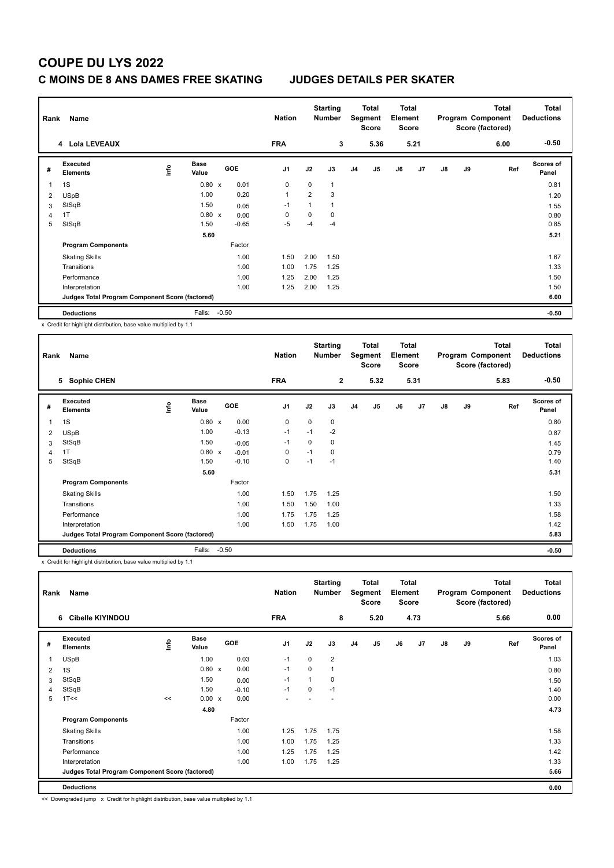# **COUPE DU LYS 2022**

### **C MOINS DE 8 ANS DAMES FREE SKATING JUDGES DETAILS PER SKATER**

| Rank | Name                                            |      |                      |         |            | <b>Nation</b>  |                | <b>Starting</b><br><b>Number</b> |                | Total<br>Segment<br>Score | <b>Total</b><br>Element<br><b>Score</b> |      |               |    | <b>Total</b><br>Program Component<br>Score (factored) | <b>Total</b><br><b>Deductions</b> |
|------|-------------------------------------------------|------|----------------------|---------|------------|----------------|----------------|----------------------------------|----------------|---------------------------|-----------------------------------------|------|---------------|----|-------------------------------------------------------|-----------------------------------|
|      | 4 Lola LEVEAUX                                  |      |                      |         |            | <b>FRA</b>     |                | 3                                |                | 5.36                      |                                         | 5.21 |               |    | 6.00                                                  | $-0.50$                           |
| #    | <b>Executed</b><br><b>Elements</b>              | ١nf٥ | <b>Base</b><br>Value |         | <b>GOE</b> | J <sub>1</sub> | J2             | J3                               | J <sub>4</sub> | J5                        | J6                                      | J7   | $\mathsf{J}8$ | J9 | Ref                                                   | <b>Scores of</b><br>Panel         |
| 1    | 1S                                              |      | $0.80 \times$        |         | 0.01       | $\mathbf 0$    | $\Omega$       | 1                                |                |                           |                                         |      |               |    |                                                       | 0.81                              |
| 2    | <b>USpB</b>                                     |      | 1.00                 |         | 0.20       | $\overline{1}$ | $\overline{2}$ | 3                                |                |                           |                                         |      |               |    |                                                       | 1.20                              |
| 3    | StSqB                                           |      | 1.50                 |         | 0.05       | $-1$           | 1              | 1                                |                |                           |                                         |      |               |    |                                                       | 1.55                              |
| 4    | 1T                                              |      | $0.80 \times$        |         | 0.00       | $\Omega$       | $\Omega$       | $\Omega$                         |                |                           |                                         |      |               |    |                                                       | 0.80                              |
| 5    | StSqB                                           |      | 1.50                 |         | $-0.65$    | $-5$           | $-4$           | $-4$                             |                |                           |                                         |      |               |    |                                                       | 0.85                              |
|      |                                                 |      | 5.60                 |         |            |                |                |                                  |                |                           |                                         |      |               |    |                                                       | 5.21                              |
|      | <b>Program Components</b>                       |      |                      |         | Factor     |                |                |                                  |                |                           |                                         |      |               |    |                                                       |                                   |
|      | <b>Skating Skills</b>                           |      |                      |         | 1.00       | 1.50           | 2.00           | 1.50                             |                |                           |                                         |      |               |    |                                                       | 1.67                              |
|      | Transitions                                     |      |                      |         | 1.00       | 1.00           | 1.75           | 1.25                             |                |                           |                                         |      |               |    |                                                       | 1.33                              |
|      | Performance                                     |      |                      |         | 1.00       | 1.25           | 2.00           | 1.25                             |                |                           |                                         |      |               |    |                                                       | 1.50                              |
|      | Interpretation                                  |      |                      |         | 1.00       | 1.25           | 2.00           | 1.25                             |                |                           |                                         |      |               |    |                                                       | 1.50                              |
|      | Judges Total Program Component Score (factored) |      |                      |         |            |                |                |                                  |                |                           |                                         |      |               |    |                                                       | 6.00                              |
|      | <b>Deductions</b>                               |      | Falls:               | $-0.50$ |            |                |                |                                  |                |                           |                                         |      |               |    |                                                       | $-0.50$                           |

x Credit for highlight distribution, base value multiplied by 1.1

| Rank | Name                                            |      |                      |         |            | <b>Nation</b>  |             | <b>Starting</b><br><b>Number</b> |                | Total<br>Segment<br><b>Score</b> | <b>Total</b><br>Element<br><b>Score</b> |      |               |    | <b>Total</b><br>Program Component<br>Score (factored) | <b>Total</b><br><b>Deductions</b> |
|------|-------------------------------------------------|------|----------------------|---------|------------|----------------|-------------|----------------------------------|----------------|----------------------------------|-----------------------------------------|------|---------------|----|-------------------------------------------------------|-----------------------------------|
|      | <b>Sophie CHEN</b><br>5                         |      |                      |         |            | <b>FRA</b>     |             | $\overline{2}$                   |                | 5.32                             |                                         | 5.31 |               |    | 5.83                                                  | $-0.50$                           |
| #    | Executed<br><b>Elements</b>                     | lnfo | <b>Base</b><br>Value |         | <b>GOE</b> | J <sub>1</sub> | J2          | J3                               | J <sub>4</sub> | J5                               | J6                                      | J7   | $\mathsf{J}8$ | J9 | Ref                                                   | <b>Scores of</b><br>Panel         |
| 1    | 1S                                              |      | $0.80 \times$        |         | 0.00       | 0              | $\mathbf 0$ | 0                                |                |                                  |                                         |      |               |    |                                                       | 0.80                              |
| 2    | <b>USpB</b>                                     |      | 1.00                 |         | $-0.13$    | $-1$           | $-1$        | $-2$                             |                |                                  |                                         |      |               |    |                                                       | 0.87                              |
| 3    | StSqB                                           |      | 1.50                 |         | $-0.05$    | -1             | $\Omega$    | 0                                |                |                                  |                                         |      |               |    |                                                       | 1.45                              |
| 4    | 1T                                              |      | 0.80 x               |         | $-0.01$    | 0              | $-1$        | $\mathbf 0$                      |                |                                  |                                         |      |               |    |                                                       | 0.79                              |
| 5    | StSqB                                           |      | 1.50                 |         | $-0.10$    | $\mathbf 0$    | $-1$        | $-1$                             |                |                                  |                                         |      |               |    |                                                       | 1.40                              |
|      |                                                 |      | 5.60                 |         |            |                |             |                                  |                |                                  |                                         |      |               |    |                                                       | 5.31                              |
|      | <b>Program Components</b>                       |      |                      |         | Factor     |                |             |                                  |                |                                  |                                         |      |               |    |                                                       |                                   |
|      | <b>Skating Skills</b>                           |      |                      |         | 1.00       | 1.50           | 1.75        | 1.25                             |                |                                  |                                         |      |               |    |                                                       | 1.50                              |
|      | Transitions                                     |      |                      |         | 1.00       | 1.50           | 1.50        | 1.00                             |                |                                  |                                         |      |               |    |                                                       | 1.33                              |
|      | Performance                                     |      |                      |         | 1.00       | 1.75           | 1.75        | 1.25                             |                |                                  |                                         |      |               |    |                                                       | 1.58                              |
|      | Interpretation                                  |      |                      |         | 1.00       | 1.50           | 1.75        | 1.00                             |                |                                  |                                         |      |               |    |                                                       | 1.42                              |
|      | Judges Total Program Component Score (factored) |      |                      |         |            |                |             |                                  |                |                                  |                                         |      |               |    |                                                       | 5.83                              |
|      | <b>Deductions</b>                               |      | Falls:               | $-0.50$ |            |                |             |                                  |                |                                  |                                         |      |               |    |                                                       | $-0.50$                           |

x Credit for highlight distribution, base value multiplied by 1.1

| Rank           | Name                                            |      |                      |            | <b>Nation</b>            |          | <b>Starting</b><br><b>Number</b> |    | <b>Total</b><br>Segment<br><b>Score</b> | Total<br>Element<br><b>Score</b> |      |               |    | <b>Total</b><br>Program Component<br>Score (factored) | <b>Total</b><br><b>Deductions</b> |
|----------------|-------------------------------------------------|------|----------------------|------------|--------------------------|----------|----------------------------------|----|-----------------------------------------|----------------------------------|------|---------------|----|-------------------------------------------------------|-----------------------------------|
|                | <b>Cibelle KIYINDOU</b><br>6                    |      |                      |            | <b>FRA</b>               |          | 8                                |    | 5.20                                    |                                  | 4.73 |               |    | 5.66                                                  | 0.00                              |
| #              | Executed<br><b>Elements</b>                     | lnfo | <b>Base</b><br>Value | <b>GOE</b> | J <sub>1</sub>           | J2       | J3                               | J4 | J5                                      | J6                               | J7   | $\mathsf{J}8$ | J9 | Ref                                                   | Scores of<br>Panel                |
| 1              | <b>USpB</b>                                     |      | 1.00                 | 0.03       | $-1$                     | $\Omega$ | $\overline{2}$                   |    |                                         |                                  |      |               |    |                                                       | 1.03                              |
| 2              | 1S                                              |      | $0.80 \times$        | 0.00       | $-1$                     | $\Omega$ | 1                                |    |                                         |                                  |      |               |    |                                                       | 0.80                              |
| 3              | StSqB                                           |      | 1.50                 | 0.00       | $-1$                     |          | 0                                |    |                                         |                                  |      |               |    |                                                       | 1.50                              |
| $\overline{4}$ | StSqB                                           |      | 1.50                 | $-0.10$    | $-1$                     | $\Omega$ | $-1$                             |    |                                         |                                  |      |               |    |                                                       | 1.40                              |
| 5              | 1T<<                                            | <<   | $0.00 \times$        | 0.00       | $\overline{\phantom{a}}$ |          |                                  |    |                                         |                                  |      |               |    |                                                       | 0.00                              |
|                |                                                 |      | 4.80                 |            |                          |          |                                  |    |                                         |                                  |      |               |    |                                                       | 4.73                              |
|                | <b>Program Components</b>                       |      |                      | Factor     |                          |          |                                  |    |                                         |                                  |      |               |    |                                                       |                                   |
|                | <b>Skating Skills</b>                           |      |                      | 1.00       | 1.25                     | 1.75     | 1.75                             |    |                                         |                                  |      |               |    |                                                       | 1.58                              |
|                | Transitions                                     |      |                      | 1.00       | 1.00                     | 1.75     | 1.25                             |    |                                         |                                  |      |               |    |                                                       | 1.33                              |
|                | Performance                                     |      |                      | 1.00       | 1.25                     | 1.75     | 1.25                             |    |                                         |                                  |      |               |    |                                                       | 1.42                              |
|                | Interpretation                                  |      |                      | 1.00       | 1.00                     | 1.75     | 1.25                             |    |                                         |                                  |      |               |    |                                                       | 1.33                              |
|                | Judges Total Program Component Score (factored) |      |                      |            |                          |          |                                  |    |                                         |                                  |      |               |    |                                                       | 5.66                              |
|                | <b>Deductions</b>                               |      |                      |            |                          |          |                                  |    |                                         |                                  |      |               |    |                                                       | 0.00                              |

<< Downgraded jump x Credit for highlight distribution, base value multiplied by 1.1